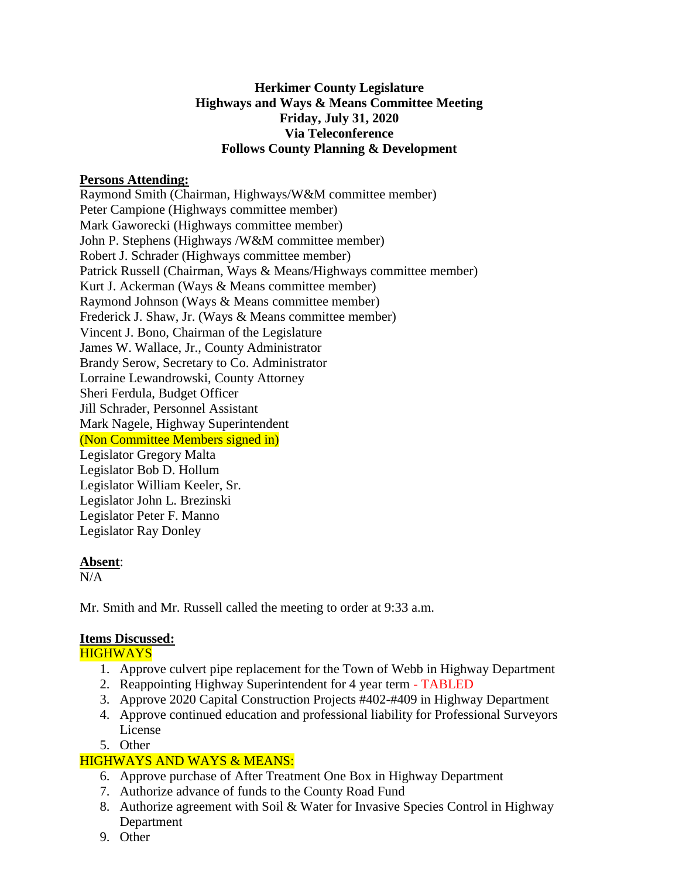## **Herkimer County Legislature Highways and Ways & Means Committee Meeting Friday, July 31, 2020 Via Teleconference Follows County Planning & Development**

## **Persons Attending:**

Raymond Smith (Chairman, Highways/W&M committee member) Peter Campione (Highways committee member) Mark Gaworecki (Highways committee member) John P. Stephens (Highways /W&M committee member) Robert J. Schrader (Highways committee member) Patrick Russell (Chairman, Ways & Means/Highways committee member) Kurt J. Ackerman (Ways & Means committee member) Raymond Johnson (Ways & Means committee member) Frederick J. Shaw, Jr. (Ways & Means committee member) Vincent J. Bono, Chairman of the Legislature James W. Wallace, Jr., County Administrator Brandy Serow, Secretary to Co. Administrator Lorraine Lewandrowski, County Attorney Sheri Ferdula, Budget Officer Jill Schrader, Personnel Assistant Mark Nagele, Highway Superintendent (Non Committee Members signed in) Legislator Gregory Malta Legislator Bob D. Hollum Legislator William Keeler, Sr. Legislator John L. Brezinski Legislator Peter F. Manno Legislator Ray Donley

#### **Absent**:

 $N/A$ 

Mr. Smith and Mr. Russell called the meeting to order at 9:33 a.m.

# **Items Discussed:**

**HIGHWAYS** 

- 1. Approve culvert pipe replacement for the Town of Webb in Highway Department
- 2. Reappointing Highway Superintendent for 4 year term TABLED
- 3. Approve 2020 Capital Construction Projects #402-#409 in Highway Department
- 4. Approve continued education and professional liability for Professional Surveyors License
- 5. Other

# HIGHWAYS AND WAYS & MEANS:

- 6. Approve purchase of After Treatment One Box in Highway Department
- 7. Authorize advance of funds to the County Road Fund
- 8. Authorize agreement with Soil & Water for Invasive Species Control in Highway Department
- 9. Other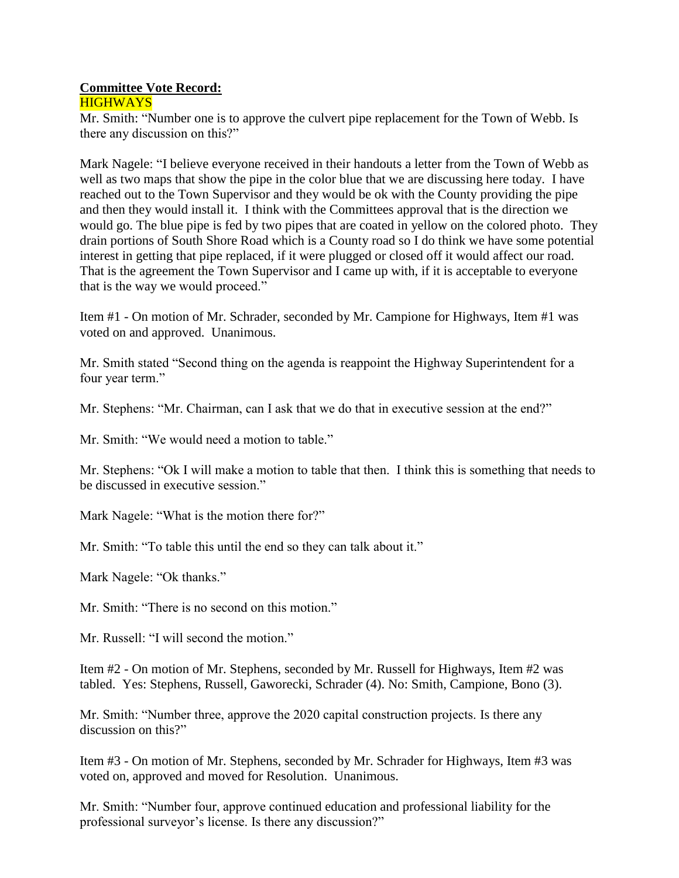#### **Committee Vote Record: HIGHWAYS**

Mr. Smith: "Number one is to approve the culvert pipe replacement for the Town of Webb. Is there any discussion on this?"

Mark Nagele: "I believe everyone received in their handouts a letter from the Town of Webb as well as two maps that show the pipe in the color blue that we are discussing here today. I have reached out to the Town Supervisor and they would be ok with the County providing the pipe and then they would install it. I think with the Committees approval that is the direction we would go. The blue pipe is fed by two pipes that are coated in yellow on the colored photo. They drain portions of South Shore Road which is a County road so I do think we have some potential interest in getting that pipe replaced, if it were plugged or closed off it would affect our road. That is the agreement the Town Supervisor and I came up with, if it is acceptable to everyone that is the way we would proceed."

Item #1 - On motion of Mr. Schrader, seconded by Mr. Campione for Highways, Item #1 was voted on and approved. Unanimous.

Mr. Smith stated "Second thing on the agenda is reappoint the Highway Superintendent for a four year term."

Mr. Stephens: "Mr. Chairman, can I ask that we do that in executive session at the end?"

Mr. Smith: "We would need a motion to table."

Mr. Stephens: "Ok I will make a motion to table that then. I think this is something that needs to be discussed in executive session."

Mark Nagele: "What is the motion there for?"

Mr. Smith: "To table this until the end so they can talk about it."

Mark Nagele: "Ok thanks."

Mr. Smith: "There is no second on this motion."

Mr. Russell: "I will second the motion."

Item #2 - On motion of Mr. Stephens, seconded by Mr. Russell for Highways, Item #2 was tabled. Yes: Stephens, Russell, Gaworecki, Schrader (4). No: Smith, Campione, Bono (3).

Mr. Smith: "Number three, approve the 2020 capital construction projects. Is there any discussion on this?"

Item #3 - On motion of Mr. Stephens, seconded by Mr. Schrader for Highways, Item #3 was voted on, approved and moved for Resolution. Unanimous.

Mr. Smith: "Number four, approve continued education and professional liability for the professional surveyor's license. Is there any discussion?"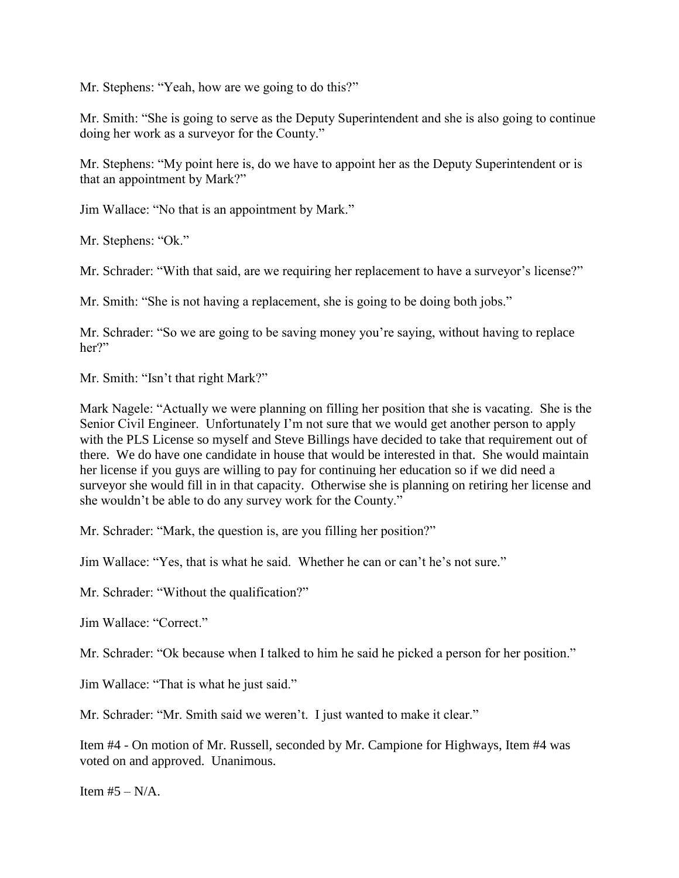Mr. Stephens: "Yeah, how are we going to do this?"

Mr. Smith: "She is going to serve as the Deputy Superintendent and she is also going to continue doing her work as a surveyor for the County."

Mr. Stephens: "My point here is, do we have to appoint her as the Deputy Superintendent or is that an appointment by Mark?"

Jim Wallace: "No that is an appointment by Mark."

Mr. Stephens: "Ok."

Mr. Schrader: "With that said, are we requiring her replacement to have a surveyor's license?"

Mr. Smith: "She is not having a replacement, she is going to be doing both jobs."

Mr. Schrader: "So we are going to be saving money you're saying, without having to replace her?"

Mr. Smith: "Isn't that right Mark?"

Mark Nagele: "Actually we were planning on filling her position that she is vacating. She is the Senior Civil Engineer. Unfortunately I'm not sure that we would get another person to apply with the PLS License so myself and Steve Billings have decided to take that requirement out of there. We do have one candidate in house that would be interested in that. She would maintain her license if you guys are willing to pay for continuing her education so if we did need a surveyor she would fill in in that capacity. Otherwise she is planning on retiring her license and she wouldn't be able to do any survey work for the County."

Mr. Schrader: "Mark, the question is, are you filling her position?"

Jim Wallace: "Yes, that is what he said. Whether he can or can't he's not sure."

Mr. Schrader: "Without the qualification?"

Jim Wallace: "Correct."

Mr. Schrader: "Ok because when I talked to him he said he picked a person for her position."

Jim Wallace: "That is what he just said."

Mr. Schrader: "Mr. Smith said we weren't. I just wanted to make it clear."

Item #4 - On motion of Mr. Russell, seconded by Mr. Campione for Highways, Item #4 was voted on and approved. Unanimous.

Item  $#5 - N/A$ .